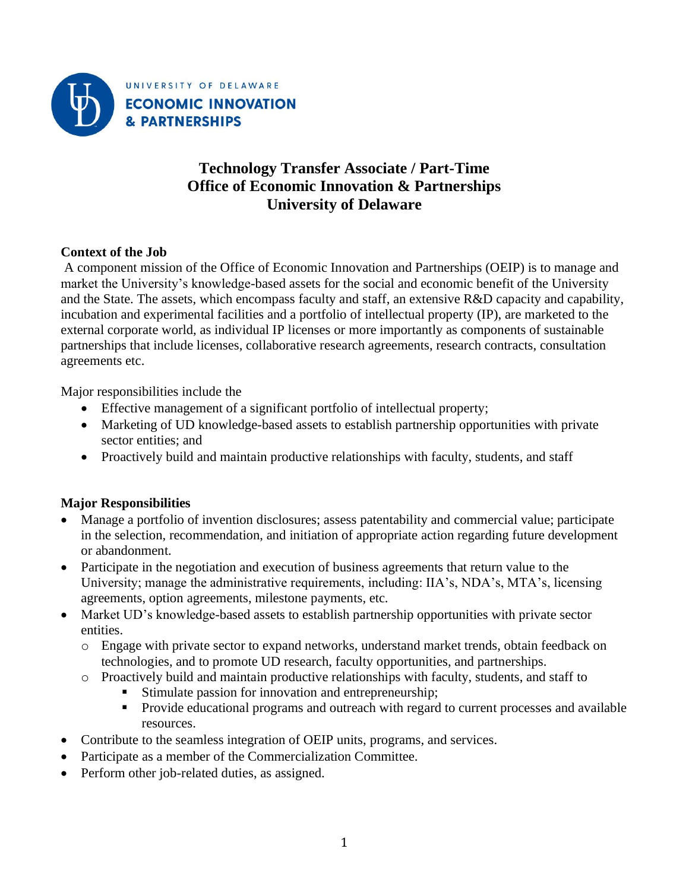

# **Technology Transfer Associate / Part-Time Office of Economic Innovation & Partnerships University of Delaware**

## **Context of the Job**

A component mission of the Office of Economic Innovation and Partnerships (OEIP) is to manage and market the University's knowledge-based assets for the social and economic benefit of the University and the State. The assets, which encompass faculty and staff, an extensive R&D capacity and capability, incubation and experimental facilities and a portfolio of intellectual property (IP), are marketed to the external corporate world, as individual IP licenses or more importantly as components of sustainable partnerships that include licenses, collaborative research agreements, research contracts, consultation agreements etc.

Major responsibilities include the

- Effective management of a significant portfolio of intellectual property;
- Marketing of UD knowledge-based assets to establish partnership opportunities with private sector entities; and
- Proactively build and maintain productive relationships with faculty, students, and staff

## **Major Responsibilities**

- Manage a portfolio of invention disclosures; assess patentability and commercial value; participate in the selection, recommendation, and initiation of appropriate action regarding future development or abandonment.
- Participate in the negotiation and execution of business agreements that return value to the University; manage the administrative requirements, including: IIA's, NDA's, MTA's, licensing agreements, option agreements, milestone payments, etc.
- Market UD's knowledge-based assets to establish partnership opportunities with private sector entities.
	- o Engage with private sector to expand networks, understand market trends, obtain feedback on technologies, and to promote UD research, faculty opportunities, and partnerships.
	- o Proactively build and maintain productive relationships with faculty, students, and staff to
		- Stimulate passion for innovation and entrepreneurship;
		- **•** Provide educational programs and outreach with regard to current processes and available resources.
- Contribute to the seamless integration of OEIP units, programs, and services.
- Participate as a member of the Commercialization Committee.
- Perform other job-related duties, as assigned.